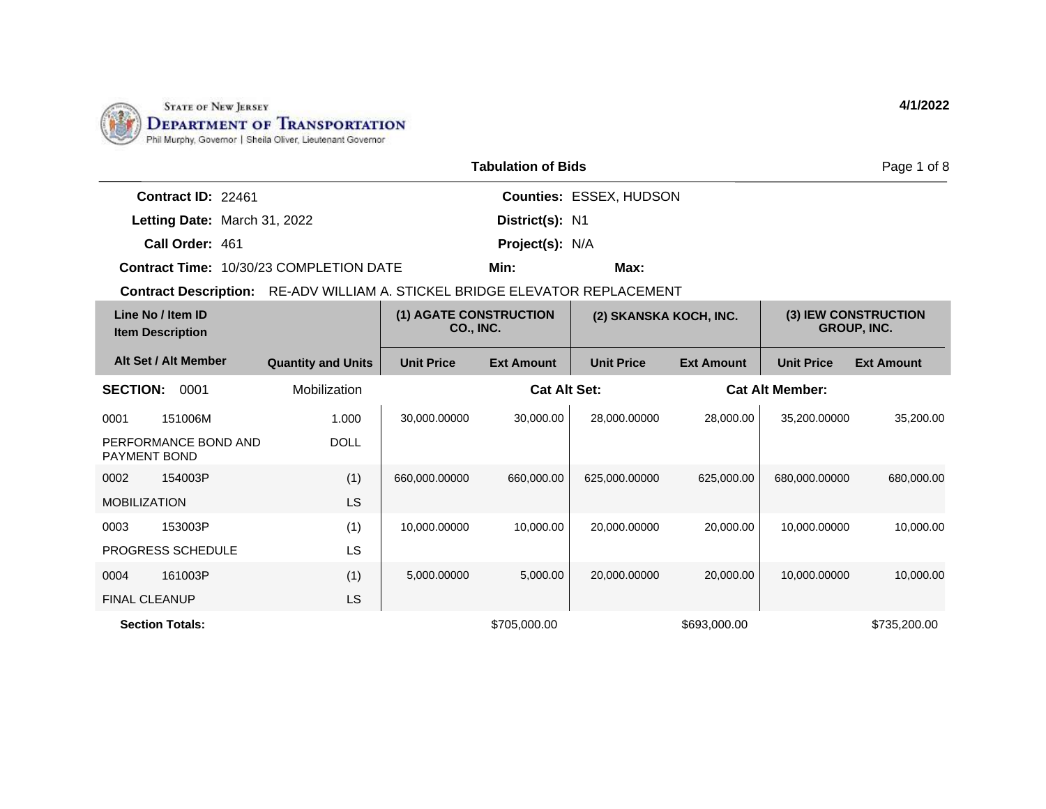

|                                     | <b>Tabulation of Bids</b>      |
|-------------------------------------|--------------------------------|
| <b>Contract ID: 22461</b>           | <b>Counties: ESSEX, HUDSON</b> |
| <b>Letting Date: March 31, 2022</b> | District(s): N1                |
| Call Order: 461                     | <b>Project(s): N/A</b>         |

**Contract Time:** 10/30/23 COMPLETION DATE

**Contract Description:** RE-ADV WILLIAM A. STICKEL BRIDGE ELEVATOR REPLACEMENT

| Line No / Item ID<br><b>Item Description</b> |                           |                   | (1) AGATE CONSTRUCTION<br>(2) SKANSKA KOCH, INC.<br>CO., INC. |                   |                   |                        |                   |  | (3) IEW CONSTRUCTION<br><b>GROUP, INC.</b> |
|----------------------------------------------|---------------------------|-------------------|---------------------------------------------------------------|-------------------|-------------------|------------------------|-------------------|--|--------------------------------------------|
| Alt Set / Alt Member                         | <b>Quantity and Units</b> | <b>Unit Price</b> | <b>Ext Amount</b>                                             | <b>Unit Price</b> | <b>Ext Amount</b> | <b>Unit Price</b>      | <b>Ext Amount</b> |  |                                            |
| <b>SECTION:</b><br>0001                      | Mobilization              |                   | <b>Cat Alt Set:</b>                                           |                   |                   | <b>Cat Alt Member:</b> |                   |  |                                            |
| 151006M<br>0001                              | 1.000                     | 30,000.00000      | 30,000.00                                                     | 28,000.00000      | 28,000.00         | 35,200.00000           | 35,200.00         |  |                                            |
| PERFORMANCE BOND AND<br><b>PAYMENT BOND</b>  | <b>DOLL</b>               |                   |                                                               |                   |                   |                        |                   |  |                                            |
| 0002<br>154003P                              | (1)                       | 660,000.00000     | 660,000.00                                                    | 625,000.00000     | 625,000.00        | 680,000.00000          | 680,000.00        |  |                                            |
| <b>MOBILIZATION</b>                          | LS                        |                   |                                                               |                   |                   |                        |                   |  |                                            |
| 0003<br>153003P                              | (1)                       | 10,000.00000      | 10,000.00                                                     | 20,000.00000      | 20,000.00         | 10,000.00000           | 10,000.00         |  |                                            |
| PROGRESS SCHEDULE                            | LS                        |                   |                                                               |                   |                   |                        |                   |  |                                            |
| 161003P<br>0004                              | (1)                       | 5,000.00000       | 5,000.00                                                      | 20,000.00000      | 20,000.00         | 10,000.00000           | 10,000.00         |  |                                            |
| <b>FINAL CLEANUP</b>                         | LS                        |                   |                                                               |                   |                   |                        |                   |  |                                            |
| <b>Section Totals:</b>                       |                           |                   | \$705,000.00                                                  |                   | \$693,000.00      |                        | \$735,200.00      |  |                                            |

**Min: Max:**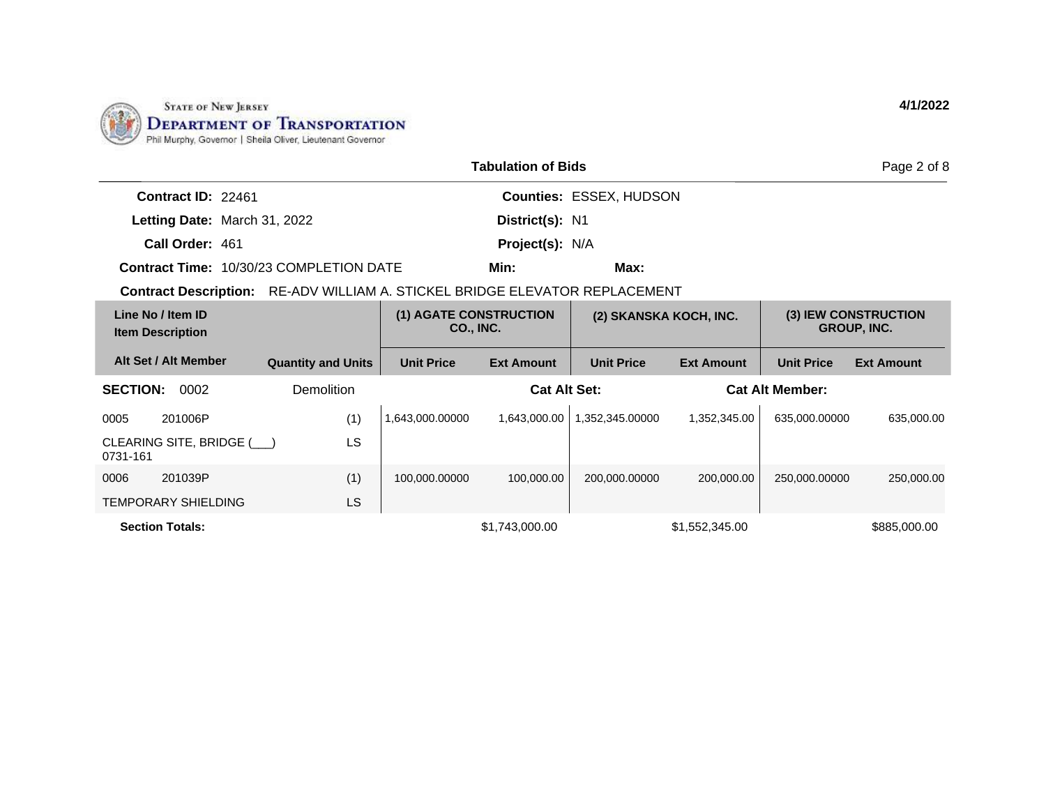

|                                                                             |                           |                   | <b>Tabulation of Bids</b>           |                         |                        |                        | Page 2 of 8                                |
|-----------------------------------------------------------------------------|---------------------------|-------------------|-------------------------------------|-------------------------|------------------------|------------------------|--------------------------------------------|
| Contract ID: 22461                                                          |                           |                   |                                     | Counties: ESSEX, HUDSON |                        |                        |                                            |
| Letting Date: March 31, 2022                                                |                           |                   | District(s): N1                     |                         |                        |                        |                                            |
| Call Order: 461                                                             |                           |                   | Project(s): N/A                     |                         |                        |                        |                                            |
| <b>Contract Time: 10/30/23 COMPLETION DATE</b>                              |                           |                   | Min:                                | Max:                    |                        |                        |                                            |
| Contract Description: RE-ADV WILLIAM A. STICKEL BRIDGE ELEVATOR REPLACEMENT |                           |                   |                                     |                         |                        |                        |                                            |
| Line No / Item ID<br><b>Item Description</b>                                |                           |                   | (1) AGATE CONSTRUCTION<br>CO., INC. |                         | (2) SKANSKA KOCH, INC. |                        | (3) IEW CONSTRUCTION<br><b>GROUP, INC.</b> |
| Alt Set / Alt Member                                                        | <b>Quantity and Units</b> | <b>Unit Price</b> | <b>Ext Amount</b>                   | <b>Unit Price</b>       | <b>Ext Amount</b>      | <b>Unit Price</b>      | <b>Ext Amount</b>                          |
| <b>SECTION:</b><br>0002                                                     | Demolition                |                   | <b>Cat Alt Set:</b>                 |                         |                        | <b>Cat Alt Member:</b> |                                            |
| 201006P<br>0005                                                             | (1)                       | 1,643,000.00000   | 1,643,000.00                        | 1,352,345.00000         | 1,352,345.00           | 635,000.00000          | 635,000.00                                 |
| CLEARING SITE, BRIDGE (<br>0731-161                                         | LS                        |                   |                                     |                         |                        |                        |                                            |
| 0006<br>201039P                                                             | (1)                       | 100,000.00000     | 100,000.00                          | 200,000.00000           | 200,000.00             | 250,000.00000          | 250,000.00                                 |
| <b>TEMPORARY SHIELDING</b>                                                  | LS.                       |                   |                                     |                         |                        |                        |                                            |
| <b>Section Totals:</b>                                                      |                           |                   | \$1,743,000.00                      |                         | \$1,552,345.00         |                        | \$885,000.00                               |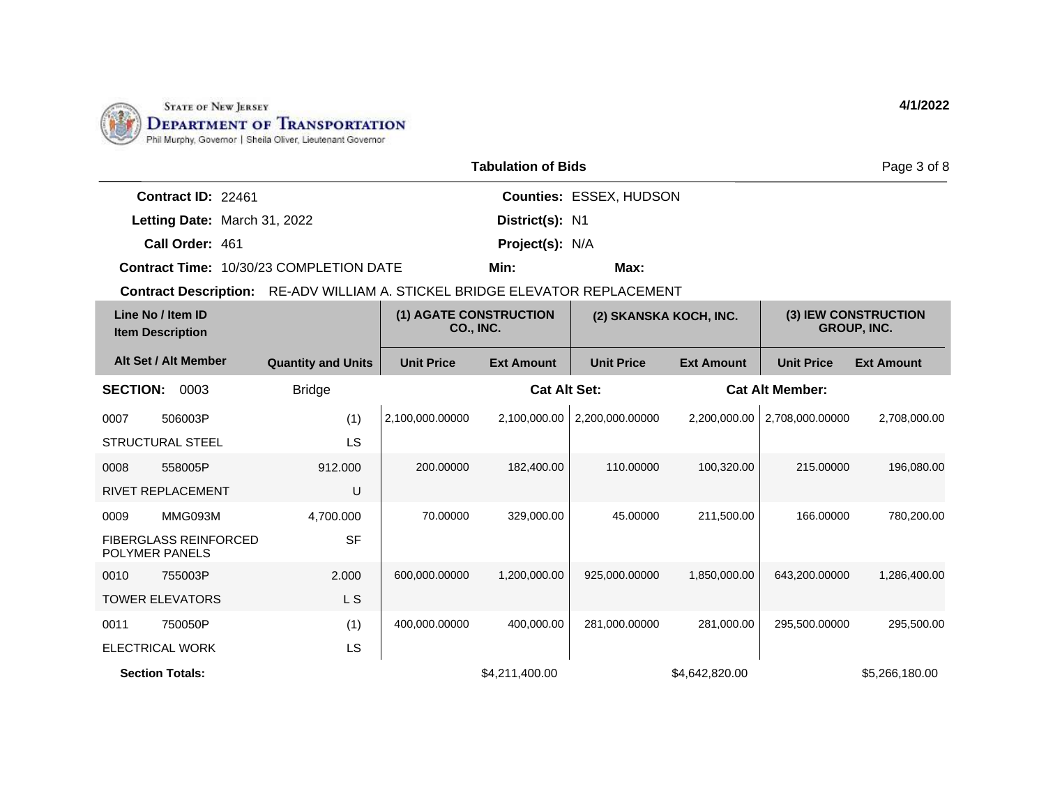

|                                                |                                                       |                                                                                                             | <b>Tabulation of Bids</b> |                                |                   |                        | Page 3 of 8       |
|------------------------------------------------|-------------------------------------------------------|-------------------------------------------------------------------------------------------------------------|---------------------------|--------------------------------|-------------------|------------------------|-------------------|
| Contract ID: 22461                             |                                                       |                                                                                                             |                           | <b>Counties: ESSEX, HUDSON</b> |                   |                        |                   |
| Letting Date: March 31, 2022                   |                                                       |                                                                                                             | District(s): N1           |                                |                   |                        |                   |
| Call Order: 461                                |                                                       |                                                                                                             | Project(s): N/A           |                                |                   |                        |                   |
| <b>Contract Time: 10/30/23 COMPLETION DATE</b> |                                                       |                                                                                                             | Min:                      | Max:                           |                   |                        |                   |
| <b>Contract Description:</b>                   | RE-ADV WILLIAM A. STICKEL BRIDGE ELEVATOR REPLACEMENT |                                                                                                             |                           |                                |                   |                        |                   |
| Line No / Item ID<br><b>Item Description</b>   |                                                       | (1) AGATE CONSTRUCTION<br>(3) IEW CONSTRUCTION<br>(2) SKANSKA KOCH, INC.<br>CO., INC.<br><b>GROUP, INC.</b> |                           |                                |                   |                        |                   |
| Alt Set / Alt Member                           | <b>Quantity and Units</b>                             | <b>Unit Price</b>                                                                                           | <b>Ext Amount</b>         | <b>Unit Price</b>              | <b>Ext Amount</b> | <b>Unit Price</b>      | <b>Ext Amount</b> |
| <b>SECTION:</b><br>0003                        | <b>Bridge</b>                                         |                                                                                                             | <b>Cat Alt Set:</b>       |                                |                   | <b>Cat Alt Member:</b> |                   |
| 0007<br>506003P                                | (1)                                                   | 2,100,000.00000                                                                                             | 2,100,000.00              | 2,200,000.00000                | 2,200,000.00      | 2,708,000.00000        | 2,708,000.00      |
| <b>STRUCTURAL STEEL</b>                        | LS                                                    |                                                                                                             |                           |                                |                   |                        |                   |
| 0008<br>558005P                                | 912.000                                               | 200.00000                                                                                                   | 182.400.00                | 110.00000                      | 100,320.00        | 215.00000              | 196,080.00        |
| RIVET REPLACEMENT                              | U                                                     |                                                                                                             |                           |                                |                   |                        |                   |
| MMG093M<br>0009                                | 4,700.000                                             | 70.00000                                                                                                    | 329,000.00                | 45.00000                       | 211,500.00        | 166,00000              | 780,200.00        |
| <b>FIBERGLASS REINFORCED</b>                   | <b>SF</b>                                             |                                                                                                             |                           |                                |                   |                        |                   |

0010 755003P TOWER ELEVATORS 2.000 L S 600,000.00000 1,200,000.00 925,000.00000 1,850,000.00 643,200.00000 1,286,400.00 0011 750050P ELECTRICAL WORK (1) LS 400,000.00000 400,000.00 281,000.00000 281,000.00 295,500.00000 295,500.00 **Section Totals:** \$4,211,400.00 \$4,642,820.00 \$5,266,180.00

POLYMER PANELS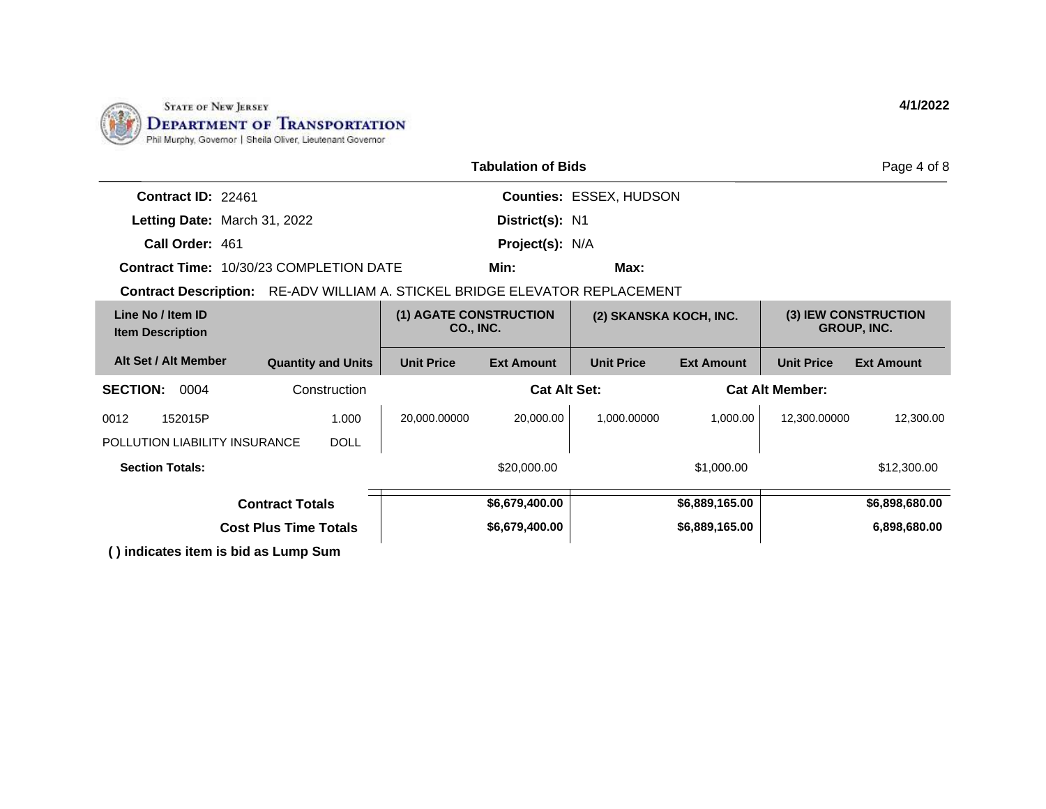

|                                                                             |                              |                                     | <b>Tabulation of Bids</b> |                                |                   |                        | Page 4 of 8                                |
|-----------------------------------------------------------------------------|------------------------------|-------------------------------------|---------------------------|--------------------------------|-------------------|------------------------|--------------------------------------------|
| Contract ID: 22461                                                          |                              |                                     |                           | <b>Counties: ESSEX, HUDSON</b> |                   |                        |                                            |
| Letting Date: March 31, 2022                                                |                              |                                     | District(s): N1           |                                |                   |                        |                                            |
| Call Order: 461                                                             |                              |                                     | <b>Project(s): N/A</b>    |                                |                   |                        |                                            |
| <b>Contract Time: 10/30/23 COMPLETION DATE</b>                              |                              |                                     | Min:                      | Max:                           |                   |                        |                                            |
| Contract Description: RE-ADV WILLIAM A. STICKEL BRIDGE ELEVATOR REPLACEMENT |                              |                                     |                           |                                |                   |                        |                                            |
| Line No / Item ID<br><b>Item Description</b>                                |                              | (1) AGATE CONSTRUCTION<br>CO., INC. |                           | (2) SKANSKA KOCH, INC.         |                   |                        | (3) IEW CONSTRUCTION<br><b>GROUP, INC.</b> |
| Alt Set / Alt Member                                                        | <b>Quantity and Units</b>    | <b>Unit Price</b>                   | <b>Ext Amount</b>         | <b>Unit Price</b>              | <b>Ext Amount</b> | <b>Unit Price</b>      | <b>Ext Amount</b>                          |
| <b>SECTION:</b><br>0004                                                     | Construction                 |                                     | <b>Cat Alt Set:</b>       |                                |                   | <b>Cat Alt Member:</b> |                                            |
| 0012<br>152015P                                                             | 1.000                        | 20,000.00000                        | 20,000.00                 | 1,000.00000                    | 1,000.00          | 12,300.00000           | 12,300.00                                  |
| POLLUTION LIABILITY INSURANCE                                               | <b>DOLL</b>                  |                                     |                           |                                |                   |                        |                                            |
| <b>Section Totals:</b>                                                      |                              |                                     | \$20,000.00               |                                | \$1,000.00        |                        | \$12,300.00                                |
|                                                                             | <b>Contract Totals</b>       |                                     | \$6,679,400.00            |                                | \$6,889,165.00    |                        | \$6,898,680.00                             |
|                                                                             | <b>Cost Plus Time Totals</b> |                                     | \$6,679,400.00            |                                | \$6,889,165.00    |                        | 6,898,680.00                               |
| ( ) indiantes item in hid an Lump Cum                                       |                              |                                     |                           |                                |                   |                        |                                            |

**( ) indicates item is bid as Lump Sum**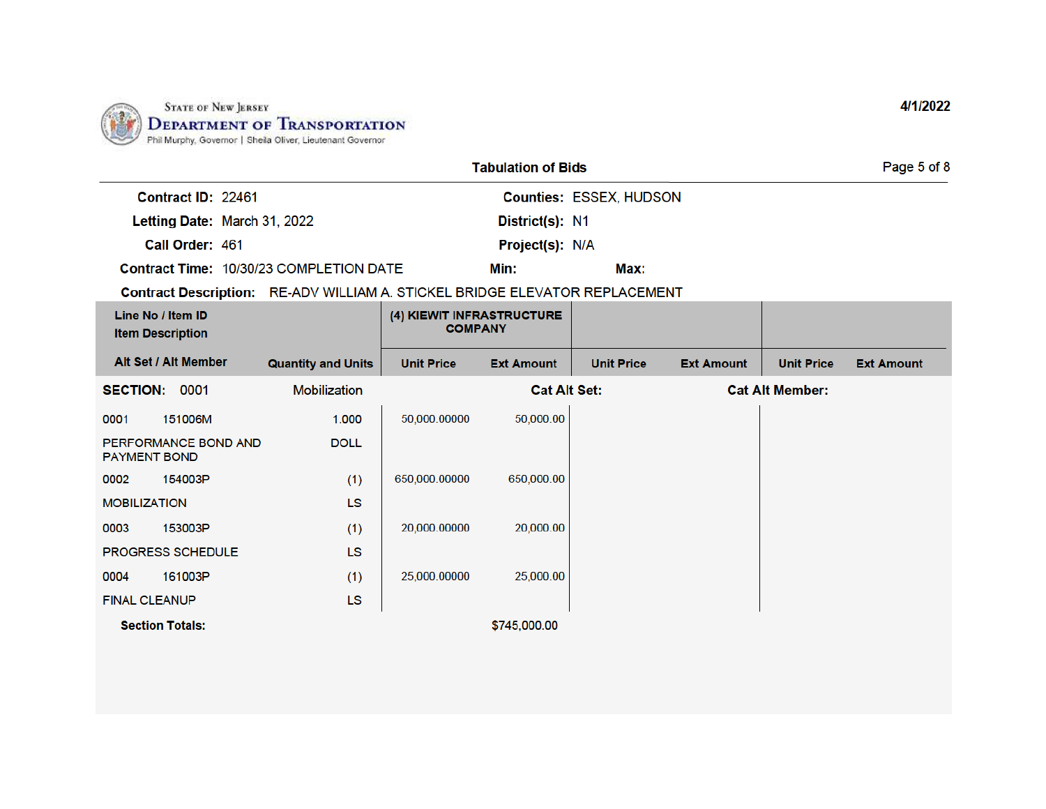

| <b>Tabulation of Bids</b> |
|---------------------------|
|---------------------------|

Min:

District(s): N1

Project(s): N/A

Contract ID: 22461

Letting Date: March 31, 2022

Call Order: 461

Contract Time: 10/30/23 COMPLETION DATE

Counties: ESSEX, HUDSON

Max:

Contract Description: RE-ADV WILLIAM A. STICKEL BRIDGE ELEVATOR REPLACEMENT

| Line No / Item ID<br><b>Item Description</b> |                           | (4) KIEWIT INFRASTRUCTURE<br><b>COMPANY</b> |                     |                   |                   |                        |                   |
|----------------------------------------------|---------------------------|---------------------------------------------|---------------------|-------------------|-------------------|------------------------|-------------------|
| Alt Set / Alt Member                         | <b>Quantity and Units</b> | <b>Unit Price</b>                           | <b>Ext Amount</b>   | <b>Unit Price</b> | <b>Ext Amount</b> | <b>Unit Price</b>      | <b>Ext Amount</b> |
| 0001<br><b>SECTION:</b>                      | Mobilization              |                                             | <b>Cat Alt Set:</b> |                   |                   | <b>Cat Alt Member:</b> |                   |
| 151006M<br>0001                              | 1.000                     | 50,000.00000                                | 50,000.00           |                   |                   |                        |                   |
| PERFORMANCE BOND AND<br><b>PAYMENT BOND</b>  | <b>DOLL</b>               |                                             |                     |                   |                   |                        |                   |
| 154003P<br>0002                              | (1)                       | 650,000.00000                               | 650,000.00          |                   |                   |                        |                   |
| <b>MOBILIZATION</b>                          | LS                        |                                             |                     |                   |                   |                        |                   |
| 153003P<br>0003                              | (1)                       | 20,000.00000                                | 20,000.00           |                   |                   |                        |                   |
| <b>PROGRESS SCHEDULE</b>                     | LS                        |                                             |                     |                   |                   |                        |                   |
| 161003P<br>0004                              | (1)                       | 25,000.00000                                | 25,000.00           |                   |                   |                        |                   |
| <b>FINAL CLEANUP</b>                         | LS                        |                                             |                     |                   |                   |                        |                   |
| <b>Section Totals:</b>                       |                           |                                             | \$745,000.00        |                   |                   |                        |                   |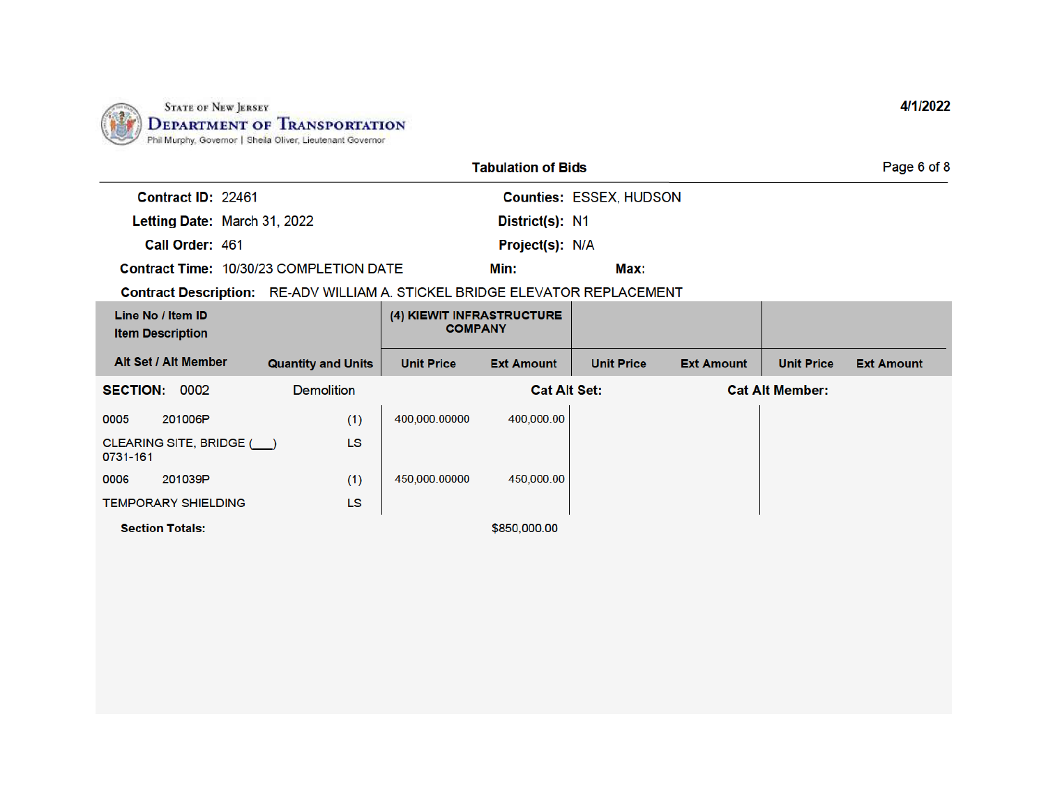

|                                                                             |                           |                                             | <b>Tabulation of Bids</b> |                                |                   |                        | Page 6 of 8       |
|-----------------------------------------------------------------------------|---------------------------|---------------------------------------------|---------------------------|--------------------------------|-------------------|------------------------|-------------------|
| Contract ID: 22461                                                          |                           |                                             |                           | <b>Counties: ESSEX, HUDSON</b> |                   |                        |                   |
| Letting Date: March 31, 2022                                                |                           |                                             | District(s): N1           |                                |                   |                        |                   |
| Call Order: 461                                                             |                           |                                             | <b>Project(s): N/A</b>    |                                |                   |                        |                   |
| <b>Contract Time: 10/30/23 COMPLETION DATE</b>                              |                           |                                             | Min:                      | Max:                           |                   |                        |                   |
| Contract Description: RE-ADV WILLIAM A. STICKEL BRIDGE ELEVATOR REPLACEMENT |                           |                                             |                           |                                |                   |                        |                   |
| Line No / Item ID<br><b>Item Description</b>                                |                           | (4) KIEWIT INFRASTRUCTURE<br><b>COMPANY</b> |                           |                                |                   |                        |                   |
| Alt Set / Alt Member                                                        | <b>Quantity and Units</b> | <b>Unit Price</b>                           | <b>Ext Amount</b>         | <b>Unit Price</b>              | <b>Ext Amount</b> | <b>Unit Price</b>      | <b>Ext Amount</b> |
| 0002<br><b>SECTION:</b>                                                     | <b>Demolition</b>         |                                             | <b>Cat Alt Set:</b>       |                                |                   | <b>Cat Alt Member:</b> |                   |
| 0005<br>201006P                                                             | (1)                       | 400,000.00000                               | 400,000.00                |                                |                   |                        |                   |
| CLEARING SITE, BRIDGE ()<br>0731-161                                        | <b>LS</b>                 |                                             |                           |                                |                   |                        |                   |
| 201039P<br>0006                                                             | (1)                       | 450,000.00000                               | 450,000.00                |                                |                   |                        |                   |
| <b>TEMPORARY SHIELDING</b>                                                  | LS                        |                                             |                           |                                |                   |                        |                   |

**Section Totals:** 

\$850,000.00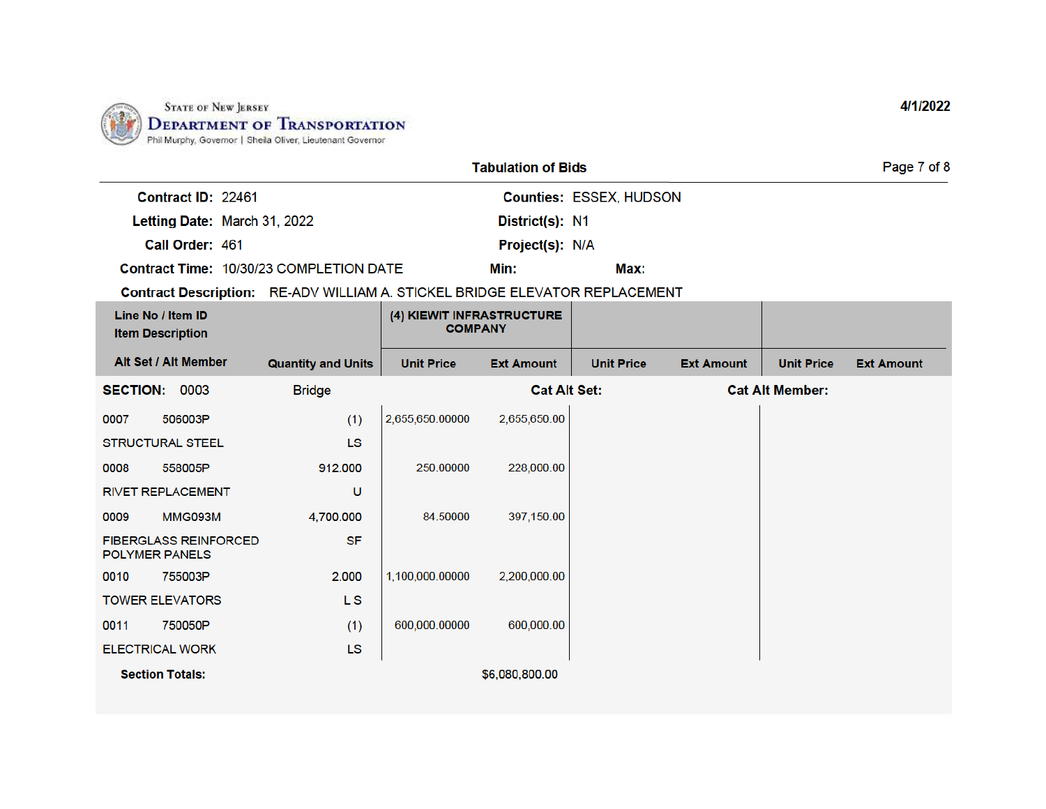

| <b>Tabulation of Bids</b> |
|---------------------------|
|---------------------------|

Min:

District(s): N1

Project(s): N/A

Contract ID: 22461

Letting Date: March 31, 2022

Call Order: 461

Contract Time: 10/30/23 COMPLETION DATE

Counties: ESSEX, HUDSON

Max:

Contract Description: RE-ADV WILLIAM A. STICKEL BRIDGE ELEVATOR REPLACEMENT

|                       | Line No / Item ID<br><b>Item Description</b> |                           | (4) KIEWIT INFRASTRUCTURE<br><b>COMPANY</b> |                     |                   |                   |                        |                   |
|-----------------------|----------------------------------------------|---------------------------|---------------------------------------------|---------------------|-------------------|-------------------|------------------------|-------------------|
|                       | Alt Set / Alt Member                         | <b>Quantity and Units</b> | <b>Unit Price</b>                           | <b>Ext Amount</b>   | <b>Unit Price</b> | <b>Ext Amount</b> | <b>Unit Price</b>      | <b>Ext Amount</b> |
| <b>SECTION: 0003</b>  |                                              | <b>Bridge</b>             |                                             | <b>Cat Alt Set:</b> |                   |                   | <b>Cat Alt Member:</b> |                   |
| 0007                  | 506003P                                      | (1)                       | 2,655,650.00000                             | 2,655,650.00        |                   |                   |                        |                   |
|                       | <b>STRUCTURAL STEEL</b>                      | <b>LS</b>                 |                                             |                     |                   |                   |                        |                   |
| 0008                  | 558005P                                      | 912.000                   | 250.00000                                   | 228,000.00          |                   |                   |                        |                   |
|                       | <b>RIVET REPLACEMENT</b>                     | υ                         |                                             |                     |                   |                   |                        |                   |
| 0009                  | MMG093M                                      | 4,700.000                 | 84.50000                                    | 397,150.00          |                   |                   |                        |                   |
| <b>POLYMER PANELS</b> | <b>FIBERGLASS REINFORCED</b>                 | <b>SF</b>                 |                                             |                     |                   |                   |                        |                   |
| 0010                  | 755003P                                      | 2.000                     | 1,100,000.00000                             | 2,200,000.00        |                   |                   |                        |                   |
|                       | <b>TOWER ELEVATORS</b>                       | L <sub>S</sub>            |                                             |                     |                   |                   |                        |                   |
| 0011                  | 750050P                                      | (1)                       | 600,000.00000                               | 600,000.00          |                   |                   |                        |                   |
|                       | <b>ELECTRICAL WORK</b>                       | <b>LS</b>                 |                                             |                     |                   |                   |                        |                   |
|                       | <b>Section Totals:</b>                       |                           |                                             | \$6,080,800.00      |                   |                   |                        |                   |

4/1/2022

Page 7 of 8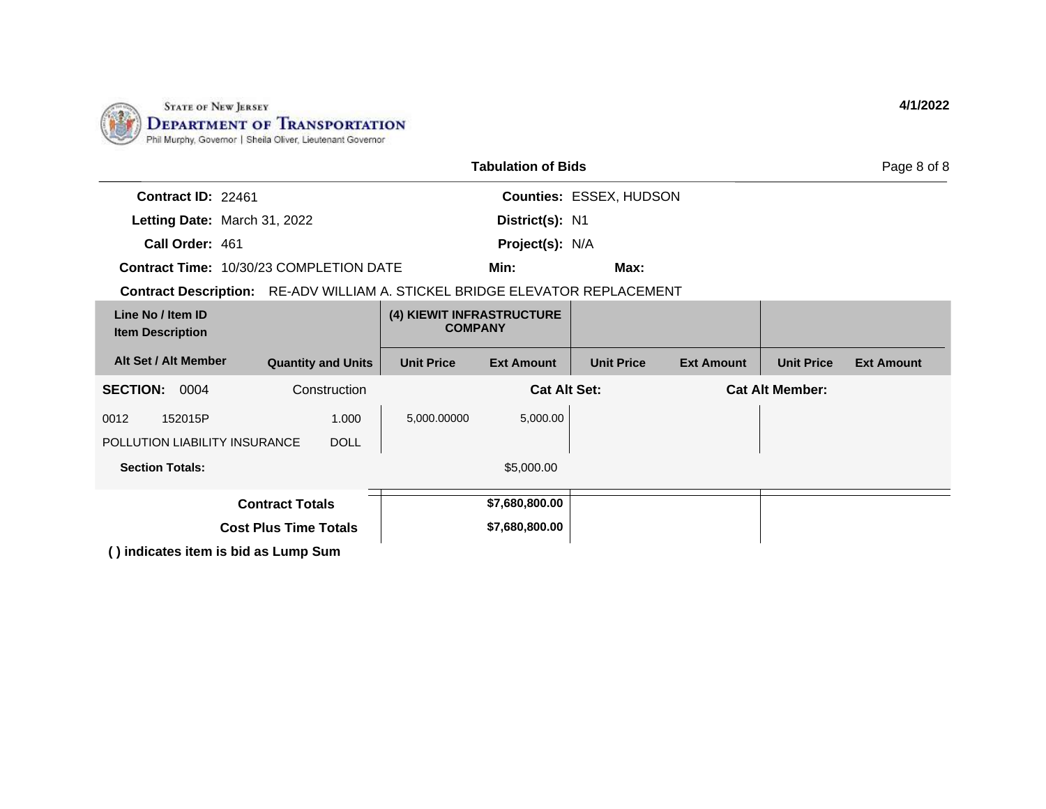

|                                                                             |                              |                                             | <b>Tabulation of Bids</b> |                         |                   |                        | Page 8 of 8       |
|-----------------------------------------------------------------------------|------------------------------|---------------------------------------------|---------------------------|-------------------------|-------------------|------------------------|-------------------|
| Contract ID: 22461                                                          |                              |                                             |                           | Counties: ESSEX, HUDSON |                   |                        |                   |
| Letting Date: March 31, 2022                                                |                              |                                             | District(s): N1           |                         |                   |                        |                   |
| Call Order: 461                                                             |                              |                                             | <b>Project(s): N/A</b>    |                         |                   |                        |                   |
| <b>Contract Time: 10/30/23 COMPLETION DATE</b>                              |                              |                                             | Min:                      | Max:                    |                   |                        |                   |
| Contract Description: RE-ADV WILLIAM A. STICKEL BRIDGE ELEVATOR REPLACEMENT |                              |                                             |                           |                         |                   |                        |                   |
| Line No / Item ID<br><b>Item Description</b>                                |                              | (4) KIEWIT INFRASTRUCTURE<br><b>COMPANY</b> |                           |                         |                   |                        |                   |
| Alt Set / Alt Member                                                        | <b>Quantity and Units</b>    | <b>Unit Price</b>                           | <b>Ext Amount</b>         | <b>Unit Price</b>       | <b>Ext Amount</b> | <b>Unit Price</b>      | <b>Ext Amount</b> |
| <b>SECTION:</b><br>0004                                                     | Construction                 |                                             | <b>Cat Alt Set:</b>       |                         |                   | <b>Cat Alt Member:</b> |                   |
| 152015P<br>0012                                                             | 1.000                        | 5,000.00000                                 | 5,000.00                  |                         |                   |                        |                   |
| POLLUTION LIABILITY INSURANCE                                               | <b>DOLL</b>                  |                                             |                           |                         |                   |                        |                   |
| <b>Section Totals:</b>                                                      |                              |                                             | \$5,000.00                |                         |                   |                        |                   |
|                                                                             | <b>Contract Totals</b>       |                                             | \$7,680,800.00            |                         |                   |                        |                   |
|                                                                             | <b>Cost Plus Time Totals</b> |                                             | \$7,680,800.00            |                         |                   |                        |                   |
| () indicates item is bid as Lump Sum                                        |                              |                                             |                           |                         |                   |                        |                   |